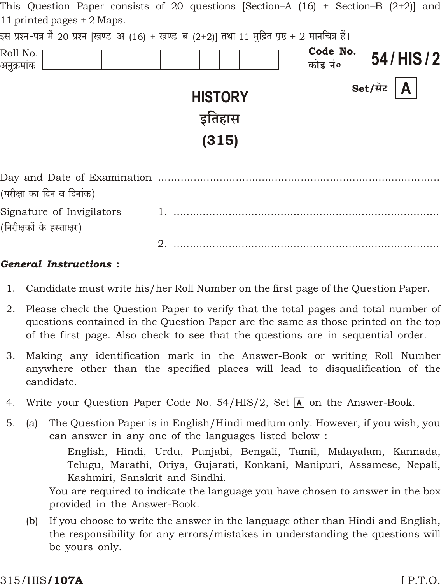|                                                        | This Question Paper consists of 20 questions $ Section-A $ (16) + Section–B (2+2) and            |                      |
|--------------------------------------------------------|--------------------------------------------------------------------------------------------------|----------------------|
| 11 printed pages + 2 Maps.                             |                                                                                                  |                      |
|                                                        | इस प्रश्न-पत्र में 20 प्रश्न [खण्ड–अ (16) + खण्ड–ब (2+2)] तथा 11 मुद्रित पृष्ठ + 2 मानचित्र हैं। |                      |
| Roll No.<br>अनुक्रमांक                                 | कोड नं०                                                                                          | Code No.<br>54/HIS/2 |
|                                                        | <b>HISTORY</b><br>इतिहास<br>(315)                                                                | Set/सेट $ A $        |
|                                                        |                                                                                                  |                      |
| (परीक्षा का दिन व दिनांक)                              |                                                                                                  |                      |
| Signature of Invigilators<br>(निरीक्षकों के हस्ताक्षर) |                                                                                                  |                      |
|                                                        | 2.                                                                                               |                      |

### **General Instructions:**

- 1. Candidate must write his/her Roll Number on the first page of the Question Paper.
- 2. Please check the Question Paper to verify that the total pages and total number of questions contained in the Question Paper are the same as those printed on the top of the first page. Also check to see that the questions are in sequential order.
- 3. Making any identification mark in the Answer-Book or writing Roll Number anywhere other than the specified places will lead to disqualification of the candidate.
- Write your Question Paper Code No. 54/HIS/2, Set  $\overline{A}$  on the Answer-Book. 4.
- $5<sub>1</sub>$ The Question Paper is in English/Hindi medium only. However, if you wish, you  $(a)$ can answer in any one of the languages listed below:

English, Hindi, Urdu, Punjabi, Bengali, Tamil, Malayalam, Kannada, Telugu, Marathi, Oriya, Gujarati, Konkani, Manipuri, Assamese, Nepali, Kashmiri, Sanskrit and Sindhi.

You are required to indicate the language you have chosen to answer in the box provided in the Answer-Book.

If you choose to write the answer in the language other than Hindi and English,  $(b)$ the responsibility for any errors/mistakes in understanding the questions will be yours only.

#### 315/HIS**/107A**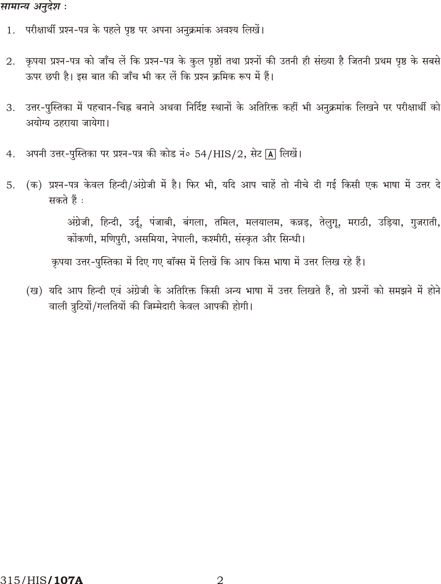# सामान्य अनुदेश :

- 1. परीक्षार्थी प्रश्न-पत्र के पहले पृष्ठ पर अपना अनुक्रमांक अवश्य लिखें।
- कृपया प्रश्न-पत्र को जाँच लें कि प्रश्न-पत्र के कुल पृष्ठों तथा प्रश्नों की उतनी ही संख्या है जितनी प्रथम पृष्ठ के सबसे 2. ऊपर छपी है। इस बात की जाँच भी कर लें कि प्रश्न क्रमिक रूप में हैं।
- उत्तर-पुस्तिका में पहचान-चिह्न बनाने अथवा निर्दिष्ट स्थानों के अतिरिक्त कहीं भी अनुक्रमांक लिखने पर परीक्षार्थी को 3. अयोग्य ठहराया जायेगा।
- अपनी उत्तर-पुस्तिका पर प्रश्न-पत्र की कोड नं० 54/HIS/2, सेट [A] लिखें।  $4.$
- (क) प्रश्न-पत्र केवल हिन्दी/अंग्रेजी में है। फिर भी, यदि आप चाहें तो नीचे दी गई किसी एक भाषा में उत्तर दे 5. सकते हैं :

अंग्रेजी, हिन्दी, उर्दू, पंजाबी, बंगला, तमिल, मलयालम, कन्नड़, तेलुगू, मराठी, उड़िया, गुजराती, कोंकणी, मणिपुरी, असमिया, नेपाली, कश्मीरी, संस्कृत और सिन्धी।

कृपया उत्तर-पुस्तिका में दिए गए बॉक्स में लिखें कि आप किस भाषा में उत्तर लिख रहे हैं।

(ख) यदि आप हिन्दी एवं अंग्रेजी के अतिरिक्त किसी अन्य भाषा में उत्तर लिखते हैं, तो प्रश्नों को समझने में होने वाली त्रुटियों/गलतियों की जिम्मेदारी केवल आपकी होगी।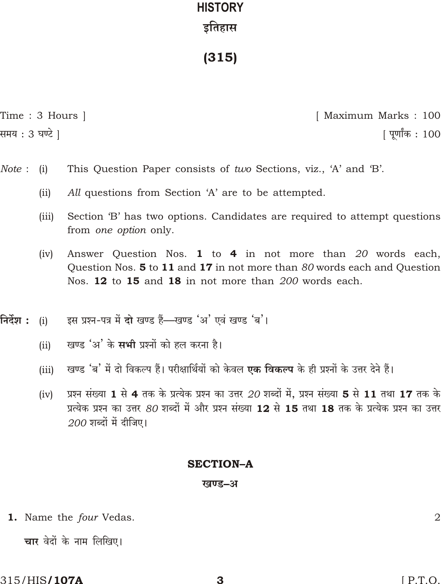# **HISTORY** इतिहास

 $(315)$ 

Time: 3 Hours | समय : 3 घण्टे 1

[ Maximum Marks : 100 <u> । पर्णांक : 100</u>

- Note:  $(i)$ This Question Paper consists of two Sections, viz., 'A' and 'B'.
	- All questions from Section 'A' are to be attempted.  $(ii)$
	- Section 'B' has two options. Candidates are required to attempt questions  $(iii)$ from *one option* only.
	- $(iv)$ Answer Question Nos. 1 to 4 in not more than 20 words each, Question Nos. 5 to 11 and 17 in not more than 80 words each and Question Nos. 12 to 15 and 18 in not more than 200 words each.
- निर्देश : इस प्रश्न-पत्र में दो खण्ड हैं-खण्ड 'अ' एवं खण्ड 'ब'।  $(i)$ 
	- खण्ड 'अ' के सभी पश्नों को हल करना है।  $(ii)$
	- खण्ड 'ब' में दो विकल्प हैं। परीक्षार्थियों को केवल **एक विकल्प** के ही प्रश्नों के उत्तर देने हैं।  $(iii)$
	- प्रश्न संख्या 1 से 4 तक के प्रत्येक प्रश्न का उत्तर 20 शब्दों में. प्रश्न संख्या 5 से 11 तथा 17 तक के  $(iv)$ प्रत्येक प्रश्न का उत्तर 80 शब्दों में और प्रश्न संख्या 12 से 15 तथा 18 तक के प्रत्येक प्रश्न का उत्तर  $200$  शब्दों में दीजिए।

## **SECTION-A**

## खण्ड–अ

1. Name the four Vedas.

चार वेदों के नाम लिखिए।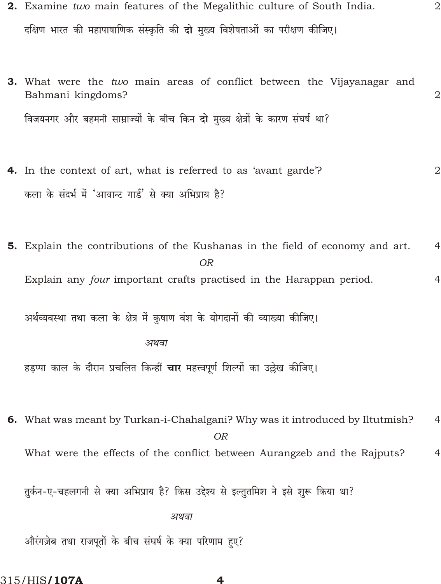2. Examine two main features of the Megalithic culture of South India. दक्षिण भारत की महापाषाणिक संस्कृति की **दो** मुख्य विशेषताओं का परीक्षण कीजिए।

 $\overline{2}$ 

- 3. What were the two main areas of conflict between the Vijayanagar and Bahmani kingdoms?  $\overline{2}$ विजयनगर और बहमनी साम्राज्यों के बीच किन दो मुख्य क्षेत्रों के कारण संघर्ष था?
- 4. In the context of art, what is referred to as 'avant garde'?  $\overline{2}$ कला के संदर्भ में 'आवान्ट गार्ड' से क्या अभिप्राय है?
- **5.** Explain the contributions of the Kushanas in the field of economy and art.  $\overline{4}$  $OR$ Explain any *four* important crafts practised in the Harappan period.  $\overline{4}$

अर्थव्यवस्था तथा कला के क्षेत्र में कुषाण वंश के योगदानों की व्याख्या कीजिए।

#### अथवा

हड़प्पा काल के दौरान प्रचलित किन्हीं **चार** महत्त्वपूर्ण शिल्पों का उल्लेख कीजिए।

6. What was meant by Turkan-i-Chahalgani? Why was it introduced by Iltutmish?  $\overline{4}$ **OR** What were the effects of the conflict between Aurangzeb and the Rajputs?  $\overline{4}$ 

तुर्कन-ए-चहलगनी से क्या अभिप्राय है? किस उद्देश्य से इल्तुतमिश ने इसे शुरू किया था?

अथवा

औरंगज़ेब तथा राजपूतों के बीच संघर्ष के क्या परिणाम हए?

315/HIS**/107A**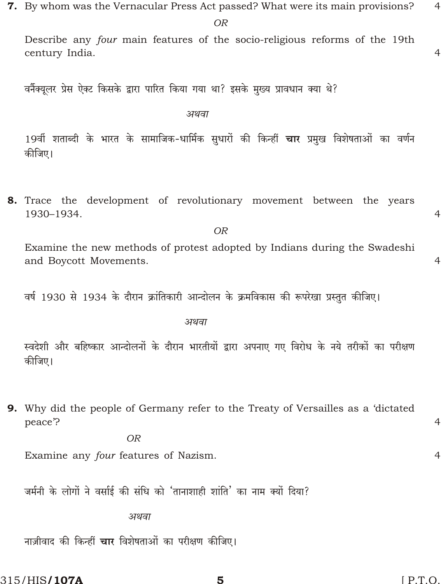$\overline{OR}$ 

Describe any four main features of the socio-religious reforms of the 19th century India.

वर्नैक्यूलर प्रेस ऐक्ट किसके द्वारा पारित किया गया था? इसके मुख्य प्रावधान क्या थे?

अथवा

19वीं शताब्दी के भारत के सामाजिक-धार्मिक सुधारों की किन्हीं **चार** प्रमुख विशेषताओं का वर्णन कीजिए।

8. Trace the development of revolutionary movement between the years 1930-1934.

**OR** 

Examine the new methods of protest adopted by Indians during the Swadeshi and Boycott Movements.

वर्ष 1930 से 1934 के दौरान क्रांतिकारी आन्दोलन के क्रमविकास की रूपरेखा प्रस्तुत कीजिए।

अथवा

स्वदेशी और बहिष्कार आन्दोलनों के दौरान भारतीयों द्वारा अपनाए गए विरोध के नये तरीकों का परीक्षण कीजिए।

9. Why did the people of Germany refer to the Treaty of Versailles as a 'dictated peace?

5

 $OR$ 

Examine any four features of Nazism.

जर्मनी के लोगों ने वर्साई की संधि को 'तानाशाही शांति' का नाम क्यों दिया?

अथवा

नाज़ीवाद की किन्हीं चार विशेषताओं का परीक्षण कीजिए।

315/HIS**/107A** 

 $[$  P.T.O.

 $\overline{4}$  $\overline{4}$ 

 $\overline{4}$ 

 $\overline{4}$ 

 $\overline{4}$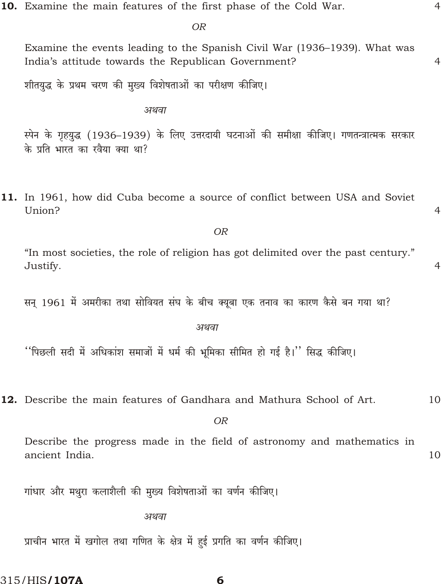10. Examine the main features of the first phase of the Cold War.

OR

Examine the events leading to the Spanish Civil War (1936–1939). What was India's attitude towards the Republican Government?

शीतयुद्ध के प्रथम चरण की मुख्य विशेषताओं का परीक्षण कीजिए।

अथवा

स्पेन के गृहयुद्ध (1936–1939) के लिए उत्तरदायी घटनाओं की समीक्षा कीजिए। गणतन्त्रात्मक सरकार के प्रति भारत का रवैया क्या था?

11. In 1961, how did Cuba become a source of conflict between USA and Soviet Union?

**OR** 

"In most societies, the role of religion has got delimited over the past century." Justify.

सन् 1961 में अमरीका तथा सोवियत संघ के बीच क्यूबा एक तनाव का कारण कैसे बन गया था?

अथवा

''पिछली सदी में अधिकांश समाजों में धर्म की भूमिका सीमित हो गई है।'' सिद्ध कीजिए।

12. Describe the main features of Gandhara and Mathura School of Art.

**OR** 

6

Describe the progress made in the field of astronomy and mathematics in ancient India. 10

गांधार और मथुरा कलाशैली की मुख्य विशेषताओं का वर्णन कीजिए।

अथवा

प्राचीन भारत में खगोल तथा गणित के क्षेत्र में हई प्रगति का वर्णन कीजिए।

315/HIS**/107A** 

# $\overline{4}$

 $\overline{4}$ 

 $\overline{4}$ 

 $\overline{4}$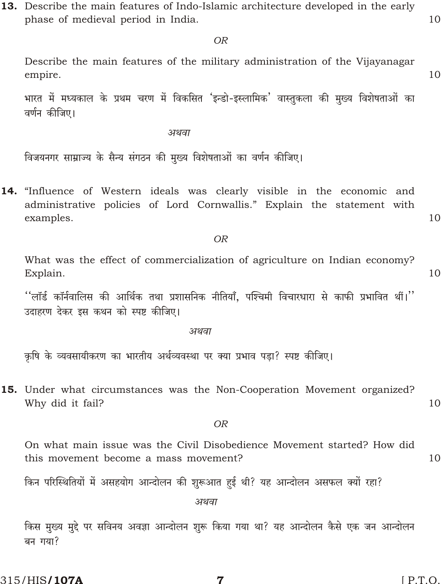13. Describe the main features of Indo-Islamic architecture developed in the early phase of medieval period in India.

 $OR$ 

Describe the main features of the military administration of the Vijayanagar empire.

भारत में मध्यकाल के प्रथम चरण में विकसित 'इन्डो-इस्लामिक' वास्तुकला की मुख्य विशेषताओं का वर्णन कीजिए।

अथवा

विजयनगर साम्राज्य के सैन्य संगठन की मुख्य विशेषताओं का वर्णन कीजिए।

14. "Influence of Western ideals was clearly visible in the economic and administrative policies of Lord Cornwallis." Explain the statement with examples.

#### **OR**

What was the effect of commercialization of agriculture on Indian economy? Explain.

 $\lq\lq$ लॉर्ड कॉर्नवालिस की आर्थिक तथा प्रशासनिक नीतियाँ, पश्चिमी विचारधारा से काफी प्रभावित थीं। $\lq\lq$ उदाहरण देकर इस कथन को स्पष्ट कीजिए।

अथवा

कृषि के व्यवसायीकरण का भारतीय अर्थव्यवस्था पर क्या प्रभाव पड़ा? स्पष्ट कीजिए।

15. Under what circumstances was the Non-Cooperation Movement organized? Why did it fail?

**OR** 

On what main issue was the Civil Disobedience Movement started? How did this movement become a mass movement? 10

किन परिस्थितियों में असहयोग आन्दोलन की शुरूआत हई थी? यह आन्दोलन असफल क्यों रहा?

अथवा

किस मुख्य मुद्दे पर सविनय अवज्ञा आन्दोलन शुरू किया गया था? यह आन्दोलन कैसे एक जन आन्दोलन बन गया?

7

315/HIS**/107A** 

 $[$  P.T.O.

10

 $10$ 

10

10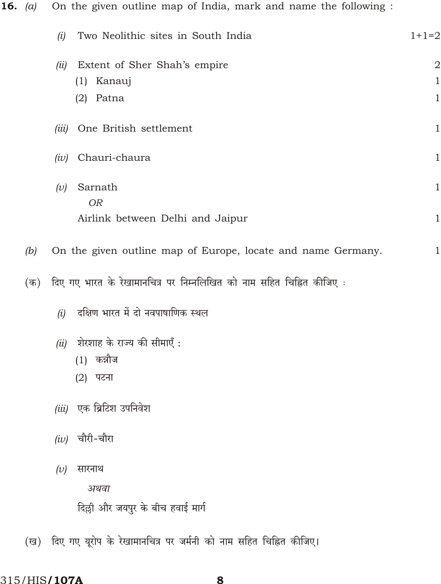**16.** (a) On the given outline map of India, mark and name the following :

|     | Two Neolithic sites in South India<br>(i)                            | $1+1=2$             |
|-----|----------------------------------------------------------------------|---------------------|
|     | Extent of Sher Shah's empire<br>(ii)<br>(1) Kanauj                   | $\overline{2}$<br>1 |
|     | $(2)$ Patna                                                          | $\mathbf{1}$        |
|     | One British settlement<br>(iii)                                      | 1                   |
|     | Chauri-chaura<br>(iv)                                                | $\mathbf 1$         |
|     | Sarnath<br>(v)                                                       | 1                   |
|     | <b>OR</b><br>Airlink between Delhi and Jaipur                        | $\mathbf{1}$        |
| (b) | On the given outline map of Europe, locate and name Germany.         | 1                   |
| (क) | दिए गए भारत के रेखामानचित्र पर निम्नलिखित को नाम सहित चिह्नित कीजिए: |                     |
|     | दक्षिण भारत में दो नवपाषाणिक स्थल<br>(i)                             |                     |
|     | शेरशाह के राज्य की सीमाएँ :<br>(ii)<br>$(1)$ कन्नौज<br>(2) पटना      |                     |
|     | एक ब्रिटिश उपनिवेश<br>(iii)                                          |                     |
|     | $(iv)$ चौरी-चौरा                                                     |                     |

सारनाथ  $(v)$ 

अथवा

दिल्ली और जयपुर के बीच हवाई मार्ग

(ख) दिए गए यूरोप के रेखामानचित्र पर जर्मनी को नाम सहित चिह्नित कीजिए।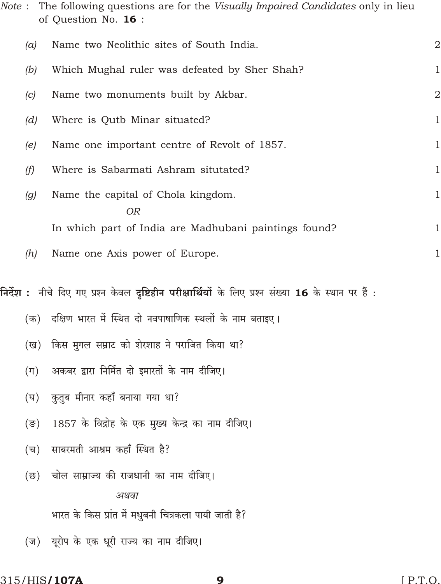| Note : |                  | The following questions are for the <i>Visually Impaired Candidates</i> only in lieu<br>of Question No. 16: |                |
|--------|------------------|-------------------------------------------------------------------------------------------------------------|----------------|
|        | (a)              | Name two Neolithic sites of South India.                                                                    | $\overline{2}$ |
|        | (b)              | Which Mughal ruler was defeated by Sher Shah?                                                               | $\mathbf{1}$   |
|        | (c)              | Name two monuments built by Akbar.                                                                          | $\overline{2}$ |
|        | (d)              | Where is Qutb Minar situated?                                                                               | $\mathbf{1}$   |
|        | (e)              | Name one important centre of Revolt of 1857.                                                                | $\mathbf{1}$   |
|        | (f)              | Where is Sabarmati Ashram situtated?                                                                        | $\mathbf{1}$   |
|        | (g)              | Name the capital of Chola kingdom.<br><b>OR</b>                                                             | $\mathbf 1$    |
|        |                  | In which part of India are Madhubani paintings found?                                                       | $\mathbf{1}$   |
|        | (h)              | Name one Axis power of Europe.                                                                              | $\mathbf{1}$   |
|        |                  | निर्देश :  नीचे दिए गए प्रश्न केवल दृष्टिहीन परीक्षार्थियों के लिए प्रश्न संख्या 16 के स्थान पर हैं :       |                |
|        | (क)              | दक्षिण भारत में स्थित दो नवपाषाणिक स्थलों के नाम बताइए।                                                     |                |
|        | (ख)              | किस मुगल सम्राट को शेरशाह ने पराजित किया था?                                                                |                |
|        | $(\Pi)$          | अकबर द्वारा निर्मित दो इमारतों के नाम दीजिए।                                                                |                |
|        | (घ)              | कुतुब मीनार कहाँ बनाया गया था?                                                                              |                |
|        | $(\overline{S})$ | 1857 के विद्रोह के एक मुख्य केन्द्र का नाम दीजिए।                                                           |                |
|        | (च)              | साबरमती आश्रम कहाँ स्थित है?                                                                                |                |
|        | (ন্ত)            | चोल साम्राज्य की राजधानी का नाम दीजिए।<br>अथवा                                                              |                |
|        |                  | भारत के किस प्रांत में मधुबनी चित्रकला पायी जाती है?                                                        |                |
|        |                  | (ज) यूरोप के एक धूरी राज्य का नाम दीजिए।                                                                    |                |

 $\boldsymbol{9}$ 

# 315/HIS/107A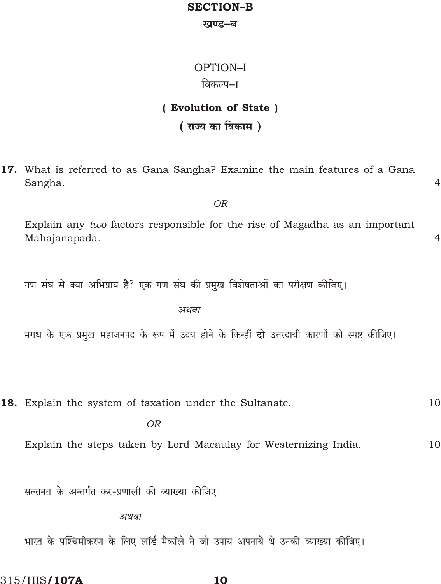# **SECTION-B**

#### खण्ड–ब

# OPTION-I विकल्प–ा

# (Evolution of State)

( राज्य का विकास)

17. What is referred to as Gana Sangha? Examine the main features of a Gana Sangha.

Explain any two factors responsible for the rise of Magadha as an important Mahajanapada.

**OR** 

 $\overline{4}$ 

 $\overline{4}$ 

गण संघ से क्या अभिप्राय है? एक गण संघ की प्रमुख विशेषताओं का परीक्षण कीजिए।

अथवा

मगध के एक प्रमुख महाजनपद के रूप में उदय होने के किन्हीं दो उत्तरदायी कारणों को स्पष्ट कीजिए।

18. Explain the system of taxation under the Sultanate. 10

 $\overline{OR}$ 

Explain the steps taken by Lord Macaulay for Westernizing India.  $10$ 

सल्तनत के अन्तर्गत कर-प्रणाली की व्याख्या कीजिए।

अथवा

भारत के पश्चिमीकरण के लिए लॉर्ड मैकॉले ने जो उपाय अपनाये थे उनकी व्याख्या कीजिए।

315/HIS**/107A**